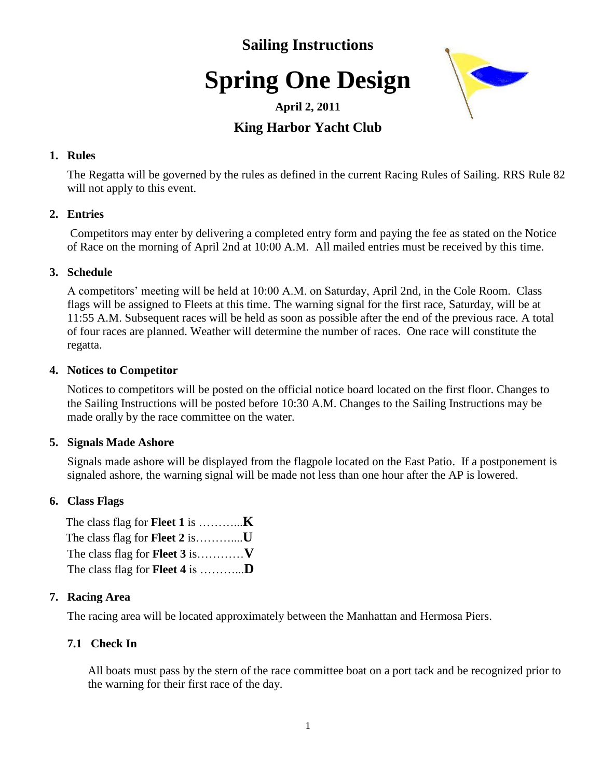### **Sailing Instructions**

# **Spring One Design**



### **April 2, 2011**

### **King Harbor Yacht Club**

#### **1. Rules**

The Regatta will be governed by the rules as defined in the current Racing Rules of Sailing. RRS Rule 82 will not apply to this event.

### **2. Entries**

Competitors may enter by delivering a completed entry form and paying the fee as stated on the Notice of Race on the morning of April 2nd at 10:00 A.M. All mailed entries must be received by this time.

### **3. Schedule**

A competitors' meeting will be held at 10:00 A.M. on Saturday, April 2nd, in the Cole Room. Class flags will be assigned to Fleets at this time. The warning signal for the first race, Saturday, will be at 11:55 A.M. Subsequent races will be held as soon as possible after the end of the previous race. A total of four races are planned. Weather will determine the number of races. One race will constitute the regatta.

### **4. Notices to Competitor**

Notices to competitors will be posted on the official notice board located on the first floor. Changes to the Sailing Instructions will be posted before 10:30 A.M. Changes to the Sailing Instructions may be made orally by the race committee on the water.

### **5. Signals Made Ashore**

Signals made ashore will be displayed from the flagpole located on the East Patio. If a postponement is signaled ashore, the warning signal will be made not less than one hour after the AP is lowered.

### **6. Class Flags**

### **7. Racing Area**

The racing area will be located approximately between the Manhattan and Hermosa Piers.

### **7.1 Check In**

 All boats must pass by the stern of the race committee boat on a port tack and be recognized prior to the warning for their first race of the day.